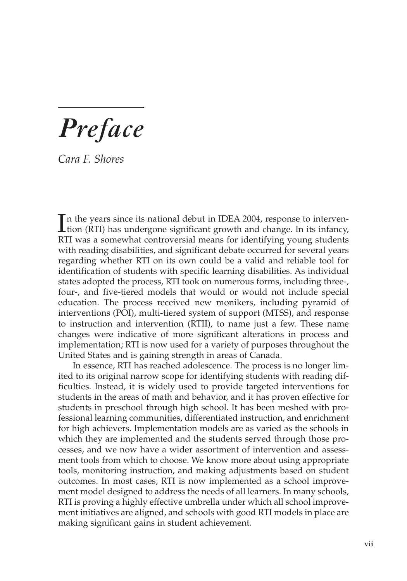*Preface*

*Cara F. Shores*

In the years since its national debut in IDEA 2004, response to intervention (RTI) has undergone significant growth and change. In its infancy, tion (RTI) has undergone significant growth and change. In its infancy, RTI was a somewhat controversial means for identifying young students with reading disabilities, and significant debate occurred for several years regarding whether RTI on its own could be a valid and reliable tool for identification of students with specific learning disabilities. As individual states adopted the process, RTI took on numerous forms, including three-, four-, and five-tiered models that would or would not include special education. The process received new monikers, including pyramid of interventions (POI), multi-tiered system of support (MTSS), and response to instruction and intervention (RTII), to name just a few. These name changes were indicative of more significant alterations in process and implementation; RTI is now used for a variety of purposes throughout the United States and is gaining strength in areas of Canada.

In essence, RTI has reached adolescence. The process is no longer limited to its original narrow scope for identifying students with reading difficulties. Instead, it is widely used to provide targeted interventions for students in the areas of math and behavior, and it has proven effective for students in preschool through high school. It has been meshed with professional learning communities, differentiated instruction, and enrichment for high achievers. Implementation models are as varied as the schools in which they are implemented and the students served through those processes, and we now have a wider assortment of intervention and assessment tools from which to choose. We know more about using appropriate tools, monitoring instruction, and making adjustments based on student outcomes. In most cases, RTI is now implemented as a school improvement model designed to address the needs of all learners. In many schools, RTI is proving a highly effective umbrella under which all school improvement initiatives are aligned, and schools with good RTI models in place are making significant gains in student achievement.